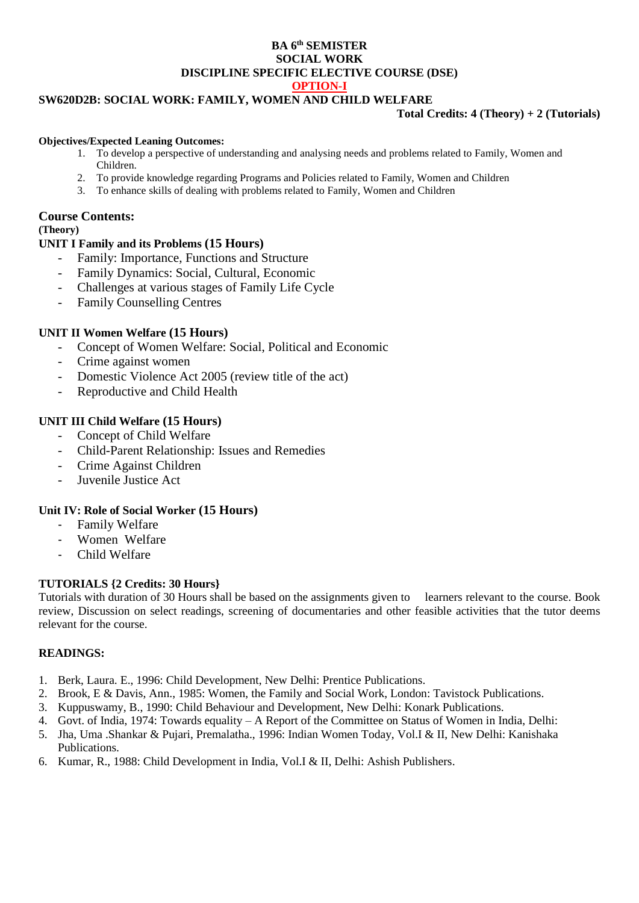### **BA 6 th SEMISTER SOCIAL WORK DISCIPLINE SPECIFIC ELECTIVE COURSE (DSE) OPTION-I**

# **SW620D2B: SOCIAL WORK: FAMILY, WOMEN AND CHILD WELFARE**

### **Total Credits: 4 (Theory) + 2 (Tutorials)**

#### **Objectives/Expected Leaning Outcomes:**

- 1. To develop a perspective of understanding and analysing needs and problems related to Family, Women and Children.
- 2. To provide knowledge regarding Programs and Policies related to Family, Women and Children
- 3. To enhance skills of dealing with problems related to Family, Women and Children

### **Course Contents:**

## **(Theory)**

# **UNIT I Family and its Problems (15 Hours)**

- Family: Importance, Functions and Structure
- Family Dynamics: Social, Cultural, Economic
- Challenges at various stages of Family Life Cycle
- Family Counselling Centres

# **UNIT II Women Welfare (15 Hours)**

- Concept of Women Welfare: Social, Political and Economic
- Crime against women
- Domestic Violence Act 2005 (review title of the act)
- Reproductive and Child Health

# **UNIT III Child Welfare (15 Hours)**

- Concept of Child Welfare
- Child-Parent Relationship: Issues and Remedies
- Crime Against Children
- Juvenile Justice Act

# **Unit IV: Role of Social Worker (15 Hours)**

- Family Welfare
- Women Welfare
- Child Welfare

## **TUTORIALS {2 Credits: 30 Hours}**

Tutorials with duration of 30 Hours shall be based on the assignments given to learners relevant to the course. Book review, Discussion on select readings, screening of documentaries and other feasible activities that the tutor deems relevant for the course.

## **READINGS:**

- 1. Berk, Laura. E., 1996: Child Development, New Delhi: Prentice Publications.
- 2. Brook, E & Davis, Ann., 1985: Women, the Family and Social Work, London: Tavistock Publications.
- 3. Kuppuswamy, B., 1990: Child Behaviour and Development, New Delhi: Konark Publications.
- 4. Govt. of India, 1974: Towards equality A Report of the Committee on Status of Women in India, Delhi:
- 5. Jha, Uma .Shankar & Pujari, Premalatha., 1996: Indian Women Today, Vol.I & II, New Delhi: Kanishaka Publications.
- 6. Kumar, R., 1988: Child Development in India, Vol.I & II, Delhi: Ashish Publishers.